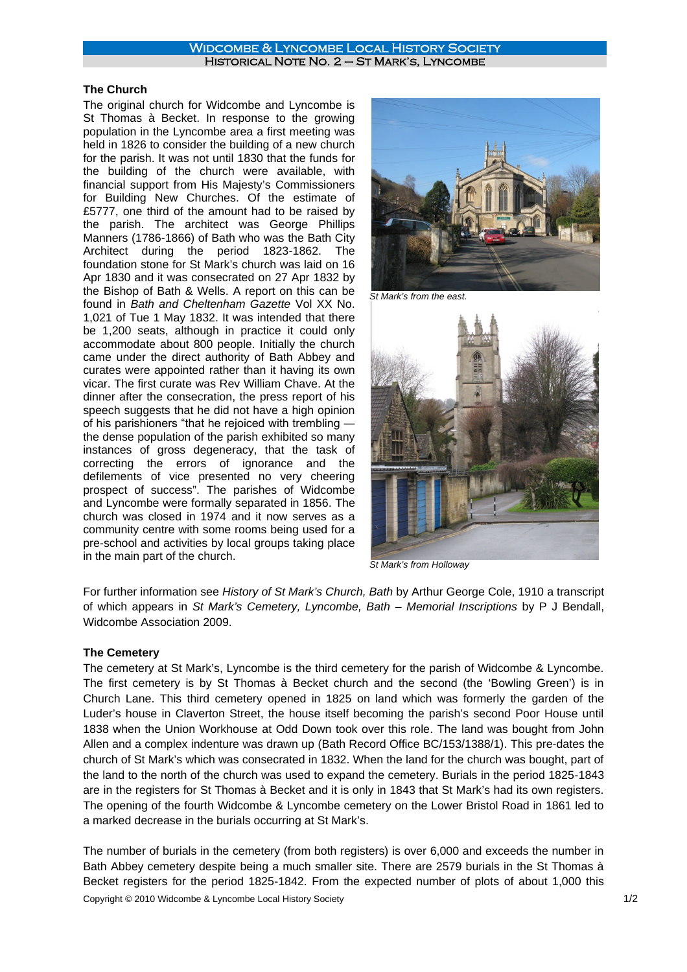## Widcombe & Lyncombe Local History Society Historical Note No. 2 – St Mark's, Lyncombe

## **The Church**

The original church for Widcombe and Lyncombe is St Thomas à Becket. In response to the growing population in the Lyncombe area a first meeting was held in 1826 to consider the building of a new church for the parish. It was not until 1830 that the funds for the building of the church were available, with financial support from His Majesty's Commissioners for Building New Churches. Of the estimate of £5777, one third of the amount had to be raised by the parish. The architect was George Phillips Manners (1786-1866) of Bath who was the Bath City Architect during the period 1823-1862. The foundation stone for St Mark's church was laid on 16 Apr 1830 and it was consecrated on 27 Apr 1832 by the Bishop of Bath & Wells. A report on this can be found in *Bath and Cheltenham Gazette* Vol XX No. 1,021 of Tue 1 May 1832. It was intended that there be 1,200 seats, although in practice it could only accommodate about 800 people. Initially the church came under the direct authority of Bath Abbey and curates were appointed rather than it having its own vicar. The first curate was Rev William Chave. At the dinner after the consecration, the press report of his speech suggests that he did not have a high opinion of his parishioners "that he rejoiced with trembling ― the dense population of the parish exhibited so many instances of gross degeneracy, that the task of correcting the errors of ignorance and the defilements of vice presented no very cheering prospect of success". The parishes of Widcombe and Lyncombe were formally separated in 1856. The church was closed in 1974 and it now serves as a community centre with some rooms being used for a pre-school and activities by local groups taking place in the main part of the church.



*St Mark's from the east.*



*St Mark's from Holloway*

For further information see *History of St Mark's Church, Bath* by Arthur George Cole, 1910 a transcript of which appears in *St Mark's Cemetery, Lyncombe, Bath – Memorial Inscriptions* by P J Bendall, Widcombe Association 2009.

## **The Cemetery**

The cemetery at St Mark's, Lyncombe is the third cemetery for the parish of Widcombe & Lyncombe. The first cemetery is by St Thomas à Becket church and the second (the 'Bowling Green') is in Church Lane. This third cemetery opened in 1825 on land which was formerly the garden of the Luder's house in Claverton Street, the house itself becoming the parish's second Poor House until 1838 when the Union Workhouse at Odd Down took over this role. The land was bought from John Allen and a complex indenture was drawn up (Bath Record Office BC/153/1388/1). This pre-dates the church of St Mark's which was consecrated in 1832. When the land for the church was bought, part of the land to the north of the church was used to expand the cemetery. Burials in the period 1825-1843 are in the registers for St Thomas à Becket and it is only in 1843 that St Mark's had its own registers. The opening of the fourth Widcombe & Lyncombe cemetery on the Lower Bristol Road in 1861 led to a marked decrease in the burials occurring at St Mark's.

Copyright © 2010 Widcombe & Lyncombe Local History Society 1/2 The number of burials in the cemetery (from both registers) is over 6,000 and exceeds the number in Bath Abbey cemetery despite being a much smaller site. There are 2579 burials in the St Thomas à Becket registers for the period 1825-1842. From the expected number of plots of about 1,000 this